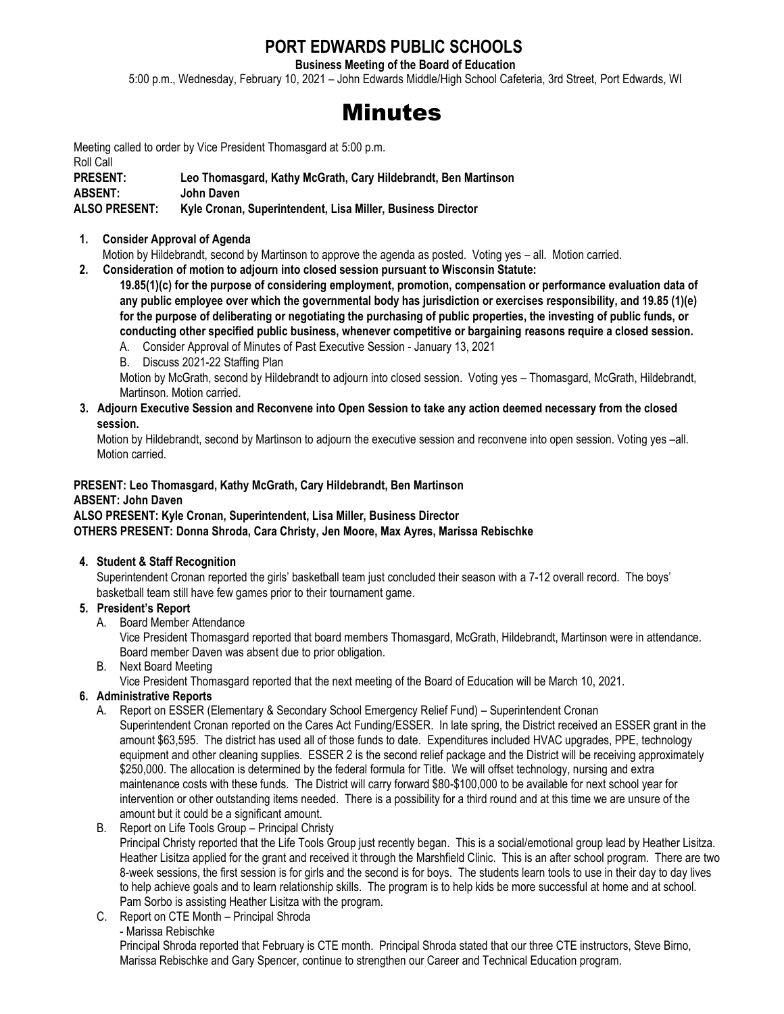# **PORT EDWARDS PUBLIC SCHOOLS**

**Business Meeting of the Board of Education**

5:00 p.m., Wednesday, February 10, 2021 – John Edwards Middle/High School Cafeteria, 3rd Street, Port Edwards, WI

# Minutes

Meeting called to order by Vice President Thomasgard at 5:00 p.m. Roll Call **PRESENT: Leo Thomasgard, Kathy McGrath, Cary Hildebrandt, Ben Martinson ABSENT: John Daven ALSO PRESENT: Kyle Cronan, Superintendent, Lisa Miller, Business Director**

**1. Consider Approval of Agenda**

Motion by Hildebrandt, second by Martinson to approve the agenda as posted. Voting yes – all. Motion carried.

**2. Consideration of motion to adjourn into closed session pursuant to Wisconsin Statute:**

**19.85(1)(c) for the purpose of considering employment, promotion, compensation or performance evaluation data of any public employee over which the governmental body has jurisdiction or exercises responsibility, and 19.85 (1)(e) for the purpose of deliberating or negotiating the purchasing of public properties, the investing of public funds, or conducting other specified public business, whenever competitive or bargaining reasons require a closed session.**

A. Consider Approval of Minutes of Past Executive Session - January 13, 2021

B. Discuss 2021-22 Staffing Plan

Motion by McGrath, second by Hildebrandt to adjourn into closed session. Voting yes – Thomasgard, McGrath, Hildebrandt, Martinson. Motion carried.

**3. Adjourn Executive Session and Reconvene into Open Session to take any action deemed necessary from the closed session.** 

 Motion by Hildebrandt, second by Martinson to adjourn the executive session and reconvene into open session. Voting yes –all. Motion carried.

### **PRESENT: Leo Thomasgard, Kathy McGrath, Cary Hildebrandt, Ben Martinson ABSENT: John Daven**

#### **ALSO PRESENT: Kyle Cronan, Superintendent, Lisa Miller, Business Director OTHERS PRESENT: Donna Shroda, Cara Christy, Jen Moore, Max Ayres, Marissa Rebischke**

#### **4. Student & Staff Recognition**

Superintendent Cronan reported the girls' basketball team just concluded their season with a 7-12 overall record. The boys' basketball team still have few games prior to their tournament game.

#### **5. President's Report**

A. Board Member Attendance

Vice President Thomasgard reported that board members Thomasgard, McGrath, Hildebrandt, Martinson were in attendance. Board member Daven was absent due to prior obligation.

B. Next Board Meeting

Vice President Thomasgard reported that the next meeting of the Board of Education will be March 10, 2021.

#### **6. Administrative Reports**

- A. Report on ESSER (Elementary & Secondary School Emergency Relief Fund) Superintendent Cronan Superintendent Cronan reported on the Cares Act Funding/ESSER. In late spring, the District received an ESSER grant in the amount \$63,595. The district has used all of those funds to date. Expenditures included HVAC upgrades, PPE, technology equipment and other cleaning supplies. ESSER 2 is the second relief package and the District will be receiving approximately \$250,000. The allocation is determined by the federal formula for Title. We will offset technology, nursing and extra maintenance costs with these funds. The District will carry forward \$80-\$100,000 to be available for next school year for intervention or other outstanding items needed. There is a possibility for a third round and at this time we are unsure of the amount but it could be a significant amount.
- B. Report on Life Tools Group Principal Christy

Principal Christy reported that the Life Tools Group just recently began. This is a social/emotional group lead by Heather Lisitza. Heather Lisitza applied for the grant and received it through the Marshfield Clinic. This is an after school program. There are two 8-week sessions, the first session is for girls and the second is for boys. The students learn tools to use in their day to day lives to help achieve goals and to learn relationship skills. The program is to help kids be more successful at home and at school. Pam Sorbo is assisting Heather Lisitza with the program.

C. Report on CTE Month – Principal Shroda - Marissa Rebischke

Principal Shroda reported that February is CTE month. Principal Shroda stated that our three CTE instructors, Steve Birno, Marissa Rebischke and Gary Spencer, continue to strengthen our Career and Technical Education program.